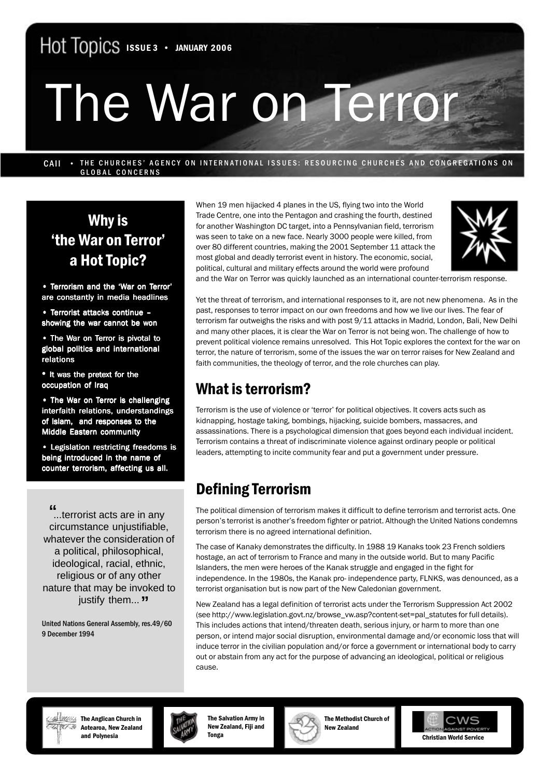# The War on Terror

CAII • THE CHURCHES' AGENCY ON INTERNATIONAL ISSUES: RESOURCING CHURCHES AND CONGREGATIONS ON GLOBAL CONCERNS

# Why is 'the War on Terror' a Hot Topic?

• Terrorism and the 'War on Terror' are constantly in media headlines

• Terrorist attacks continue – showing the war cannot be won

• The War on Terror is pivotal to global politics and international relations

**•** It was the pretext for the occupation of Iraq

• The War on Terror is challenging interfaith relations, understandings of Islam, and responses to the Middle Eastern community

• Legislation restricting freedoms is being introduced in the name of counter terrorism, affecting us all.

...terrorist acts are in any **"** circumstance unjustifiable, whatever the consideration of a political, philosophical, ideological, racial, ethnic, religious or of any other nature that may be invoked to justify them... **"**

United Nations General Assembly, res.49/60 9 December 1994

When 19 men hijacked 4 planes in the US, flying two into the World Trade Centre, one into the Pentagon and crashing the fourth, destined for another Washington DC target, into a Pennsylvanian field, terrorism was seen to take on a new face. Nearly 3000 people were killed, from over 80 different countries, making the 2001 September 11 attack the most global and deadly terrorist event in history. The economic, social, political, cultural and military effects around the world were profound



and the War on Terror was quickly launched as an international counter-terrorism response.

Yet the threat of terrorism, and international responses to it, are not new phenomena. As in the past, responses to terror impact on our own freedoms and how we live our lives. The fear of terrorism far outweighs the risks and with post 9/11 attacks in Madrid, London, Bali, New Delhi and many other places, it is clear the War on Terror is not being won. The challenge of how to prevent political violence remains unresolved. This Hot Topic explores the context for the war on terror, the nature of terrorism, some of the issues the war on terror raises for New Zealand and faith communities, the theology of terror, and the role churches can play.

## What is terrorism?

Terrorism is the use of violence or 'terror' for political objectives. It covers acts such as kidnapping, hostage taking, bombings, hijacking, suicide bombers, massacres, and assassinations. There is a psychological dimension that goes beyond each individual incident. Terrorism contains a threat of indiscriminate violence against ordinary people or political leaders, attempting to incite community fear and put a government under pressure.

# Defining Terrorism

The political dimension of terrorism makes it difficult to define terrorism and terrorist acts. One person's terrorist is another's freedom fighter or patriot. Although the United Nations condemns terrorism there is no agreed international definition.

The case of Kanaky demonstrates the difficulty. In 1988 19 Kanaks took 23 French soldiers hostage, an act of terrorism to France and many in the outside world. But to many Pacific Islanders, the men were heroes of the Kanak struggle and engaged in the fight for independence. In the 1980s, the Kanak pro- independence party, FLNKS, was denounced, as a terrorist organisation but is now part of the New Caledonian government.

cause. New Zealand has a legal definition of terrorist acts under the Terrorism Suppression Act 2002 (see http://www.legislation.govt.nz/browse\_vw.asp?content-set=pal\_statutes for full details). This includes actions that intend/threaten death, serious injury, or harm to more than one person, or intend major social disruption, environmental damage and/or economic loss that will induce terror in the civilian population and/or force a government or international body to carry out or abstain from any act for the purpose of advancing an ideological, political or religious



*<b>EXANG* The Anglican Church in Aotearoa, New Zealand and Polynesia



The Salvation Army in New Zealand, Fiji and Tonga



The Methodist Church of New Zealand

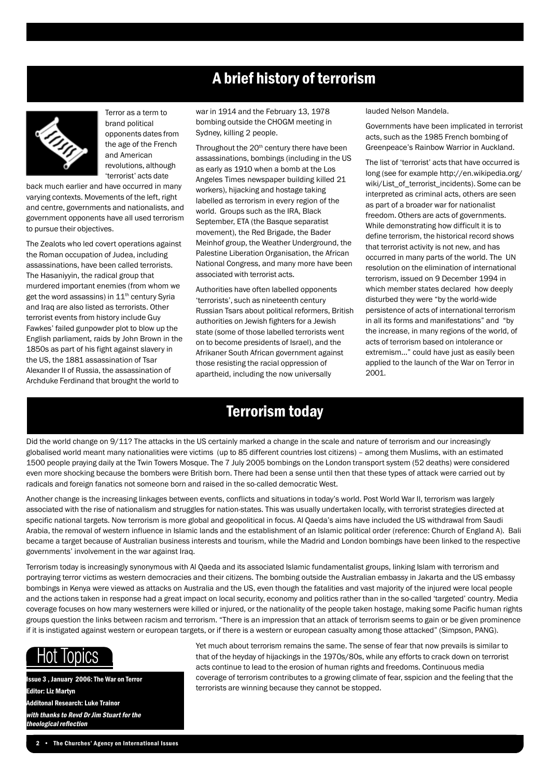## A brief history of terrorism



Terror as a term to brand political opponents dates from the age of the French and American revolutions, although 'terrorist' acts date

back much earlier and have occurred in many varying contexts. Movements of the left, right and centre, governments and nationalists, and government opponents have all used terrorism to pursue their objectives.

The Zealots who led covert operations against the Roman occupation of Judea, including assassinations, have been called terrorists. The Hasaniyyin, the radical group that murdered important enemies (from whom we get the word assassins) in 11<sup>th</sup> century Syria and Iraq are also listed as terrorists. Other terrorist events from history include Guy Fawkes' failed gunpowder plot to blow up the English parliament, raids by John Brown in the 1850s as part of his fight against slavery in the US, the 1881 assassination of Tsar Alexander II of Russia, the assassination of Archduke Ferdinand that brought the world to

war in 1914 and the February 13, 1978 bombing outside the CHOGM meeting in Sydney, killing 2 people.

Throughout the 20<sup>th</sup> century there have been assassinations, bombings (including in the US as early as 1910 when a bomb at the Los Angeles Times newspaper building killed 21 workers), hijacking and hostage taking labelled as terrorism in every region of the world. Groups such as the IRA, Black September, ETA (the Basque separatist movement), the Red Brigade, the Bader Meinhof group, the Weather Underground, the Palestine Liberation Organisation, the African National Congress, and many more have been associated with terrorist acts.

Authorities have often labelled opponents 'terrorists', such as nineteenth century Russian Tsars about political reformers, British authorities on Jewish fighters for a Jewish state (some of those labelled terrorists went on to become presidents of Israel), and the Afrikaner South African government against those resisting the racial oppression of apartheid, including the now universally

#### lauded Nelson Mandela.

Governments have been implicated in terrorist acts, such as the 1985 French bombing of Greenpeace's Rainbow Warrior in Auckland.

The list of 'terrorist' acts that have occurred is long (see for example http://en.wikipedia.org/ wiki/List\_of\_terrorist\_incidents). Some can be interpreted as criminal acts, others are seen as part of a broader war for nationalist freedom. Others are acts of governments. While demonstrating how difficult it is to define terrorism, the historical record shows that terrorist activity is not new, and has occurred in many parts of the world. The UN resolution on the elimination of international terrorism, issued on 9 December 1994 in which member states declared how deeply disturbed they were "by the world-wide persistence of acts of international terrorism in all its forms and manifestations" and "by the increase, in many regions of the world, of acts of terrorism based on intolerance or extremism..." could have just as easily been applied to the launch of the War on Terror in 2001.

### Terrorism today

Did the world change on 9/11? The attacks in the US certainly marked a change in the scale and nature of terrorism and our increasingly globalised world meant many nationalities were victims (up to 85 different countries lost citizens) – among them Muslims, with an estimated 1500 people praying daily at the Twin Towers Mosque. The 7 July 2005 bombings on the London transport system (52 deaths) were considered even more shocking because the bombers were British born. There had been a sense until then that these types of attack were carried out by radicals and foreign fanatics not someone born and raised in the so-called democratic West.

Another change is the increasing linkages between events, conflicts and situations in today's world. Post World War II, terrorism was largely associated with the rise of nationalism and struggles for nation-states. This was usually undertaken locally, with terrorist strategies directed at specific national targets. Now terrorism is more global and geopolitical in focus. Al Qaeda's aims have included the US withdrawal from Saudi Arabia, the removal of western influence in Islamic lands and the establishment of an Islamic political order (reference: Church of England A). Bali became a target because of Australian business interests and tourism, while the Madrid and London bombings have been linked to the respective governments' involvement in the war against Iraq.

Terrorism today is increasingly synonymous with Al Qaeda and its associated Islamic fundamentalist groups, linking Islam with terrorism and portraying terror victims as western democracies and their citizens. The bombing outside the Australian embassy in Jakarta and the US embassy bombings in Kenya were viewed as attacks on Australia and the US, even though the fatalities and vast majority of the injured were local people and the actions taken in response had a great impact on local security, economy and politics rather than in the so-called 'targeted' country. Media coverage focuses on how many westerners were killed or injured, or the nationality of the people taken hostage, making some Pacific human rights groups question the links between racism and terrorism. "There is an impression that an attack of terrorism seems to gain or be given prominence if it is instigated against western or european targets, or if there is a western or european casualty among those attacked" (Simpson, PANG).



Issue 3 , January 2006: The War on Terror Editor: Liz Martyn Additonal Research: Luke Trainor with thanks to Revd Dr Jim Stuart for the theological reflection

Yet much about terrorism remains the same. The sense of fear that now prevails is similar to that of the heyday of hijackings in the 1970s/80s, while any efforts to crack down on terrorist acts continue to lead to the erosion of human rights and freedoms. Continuous media coverage of terrorism contributes to a growing climate of fear, sspicion and the feeling that the terrorists are winning because they cannot be stopped.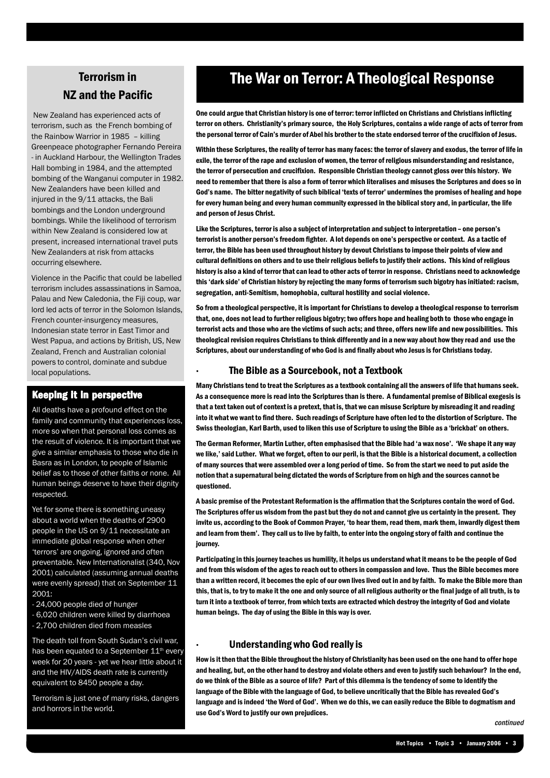## Terrorism in NZ and the Pacific

 New Zealand has experienced acts of terrorism, such as the French bombing of the Rainbow Warrior in 1985 – killing Greenpeace photographer Fernando Pereira - in Auckland Harbour, the Wellington Trades Hall bombing in 1984, and the attempted bombing of the Wanganui computer in 1982. New Zealanders have been killed and injured in the 9/11 attacks, the Bali bombings and the London underground bombings. While the likelihood of terrorism within New Zealand is considered low at present, increased international travel puts New Zealanders at risk from attacks occurring elsewhere.

Violence in the Pacific that could be labelled terrorism includes assassinations in Samoa, Palau and New Caledonia, the Fiji coup, war lord led acts of terror in the Solomon Islands, French counter-insurgency measures, Indonesian state terror in East Timor and West Papua, and actions by British, US, New Zealand, French and Australian colonial powers to control, dominate and subdue local populations.

#### Keeping it in perspective

All deaths have a profound effect on the family and community that experiences loss more so when that personal loss comes as the result of violence. It is important that we give a similar emphasis to those who die in Basra as in London, to people of Islamic belief as to those of other faiths or none. All human beings deserve to have their dignity respected.

Yet for some there is something uneasy about a world when the deaths of 2900 people in the US on 9/11 necessitate an immediate global response when other 'terrors' are ongoing, ignored and often preventable. New Internationalist (340, Nov 2001) calculated (assuming annual deaths were evenly spread) that on September 11  $2001$ 

- 24,000 people died of hunger

- 6,020 children were killed by diarrhoea

- 2,700 children died from measles

The death toll from South Sudan's civil war, has been equated to a September 11<sup>th</sup> every week for 20 years - yet we hear little about it and the HIV/AIDS death rate is currently equivalent to 8450 people a day.

Terrorism is just one of many risks, dangers and horrors in the world.

## The War on Terror: A Theological Response

One could argue that Christian history is one of terror: terror inflicted on Christians and Christians inflicting terror on others. Christianity's primary source, the Holy Scriptures, contains a wide range of acts of terror from the personal terror of Cain's murder of Abel his brother to the state endorsed terror of the crucifixion of Jesus.

Within these Scriptures, the reality of terror has many faces: the terror of slavery and exodus, the terror of life in exile, the terror of the rape and exclusion of women, the terror of religious misunderstanding and resistance, the terror of persecution and crucifixion. Responsible Christian theology cannot gloss over this history. We need to remember that there is also a form of terror which literalises and misuses the Scriptures and does so in God's name. The bitter negativity of such biblical 'texts of terror' undermines the promises of healing and hope for every human being and every human community expressed in the biblical story and, in particular, the life and person of Jesus Christ.

Like the Scriptures, terror is also a subject of interpretation and subject to interpretation – one person's terrorist is another person's freedom fighter. A lot depends on one's perspective or context. As a tactic of terror, the Bible has been used throughout history by devout Christians to impose their points of view and cultural definitions on others and to use their religious beliefs to justify their actions. This kind of religious history is also a kind of terror that can lead to other acts of terror in response. Christians need to acknowledge this 'dark side' of Christian history by rejecting the many forms of terrorism such bigotry has initiated: racism, segregation, anti-Semitism, homophobia, cultural hostility and social violence.

So from a theological perspective, it is important for Christians to develop a theological response to terrorism that, one, does not lead to further religious bigotry; two offers hope and healing both to those who engage in terrorist acts and those who are the victims of such acts; and three, offers new life and new possibilities. This theological revision requires Christians to think differently and in a new way about how they read and use the Scriptures, about our understanding of who God is and finally about who Jesus is for Christians today.

#### · The Bible as a Sourcebook, not a Textbook

Many Christians tend to treat the Scriptures as a textbook containing all the answers of life that humans seek. As a consequence more is read into the Scriptures than is there. A fundamental premise of Biblical exegesis is that a text taken out of context is a pretext, that is, that we can misuse Scripture by misreading it and reading into it what we want to find there. Such readings of Scripture have often led to the distortion of Scripture. The Swiss theologian, Karl Barth, used to liken this use of Scripture to using the Bible as a 'brickbat' on others.

The German Reformer, Martin Luther, often emphasised that the Bible had 'a wax nose'. 'We shape it any way we like,' said Luther. What we forget, often to our peril, is that the Bible is a historical document, a collection of many sources that were assembled over a long period of time. So from the start we need to put aside the notion that a supernatural being dictated the words of Scripture from on high and the sources cannot be questioned.

A basic premise of the Protestant Reformation is the affirmation that the Scriptures contain the word of God. The Scriptures offer us wisdom from the past but they do not and cannot give us certainty in the present. They invite us, according to the Book of Common Prayer, 'to hear them, read them, mark them, inwardly digest them and learn from them'. They call us to live by faith, to enter into the ongoing story of faith and continue the journey.

Participating in this journey teaches us humility, it helps us understand what it means to be the people of God and from this wisdom of the ages to reach out to others in compassion and love. Thus the Bible becomes more than a written record, it becomes the epic of our own lives lived out in and by faith. To make the Bible more than this, that is, to try to make it the one and only source of all religious authority or the final judge of all truth, is to turn it into a textbook of terror, from which texts are extracted which destroy the integrity of God and violate human beings. The day of using the Bible in this way is over.

#### · Understanding who God really is

How is it then that the Bible throughout the history of Christianity has been used on the one hand to offer hope and healing, but, on the other hand to destroy and violate others and even to justify such behaviour? In the end, do we think of the Bible as a source of life? Part of this dilemma is the tendency of some to identify the language of the Bible with the language of God, to believe uncritically that the Bible has revealed God's language and is indeed 'the Word of God'. When we do this, we can easily reduce the Bible to dogmatism and use God's Word to justify our own prejudices.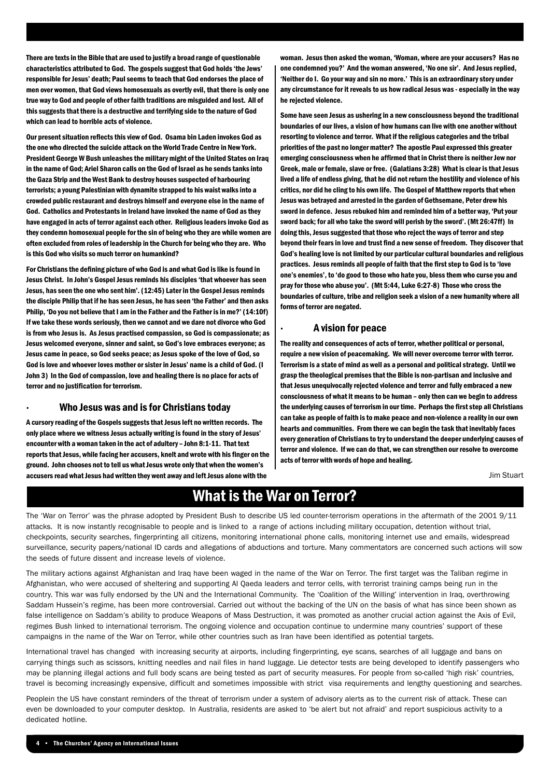There are texts in the Bible that are used to justify a broad range of questionable characteristics attributed to God. The gospels suggest that God holds 'the Jews' responsible for Jesus' death; Paul seems to teach that God endorses the place of men over women, that God views homosexuals as overtly evil, that there is only one true way to God and people of other faith traditions are misguided and lost. All of this suggests that there is a destructive and terrifying side to the nature of God which can lead to horrible acts of violence.

Our present situation reflects this view of God. Osama bin Laden invokes God as the one who directed the suicide attack on the World Trade Centre in New York. President George W Bush unleashes the military might of the United States on Iraq in the name of God; Ariel Sharon calls on the God of Israel as he sends tanks into the Gaza Strip and the West Bank to destroy houses suspected of harbouring terrorists; a young Palestinian with dynamite strapped to his waist walks into a crowded public restaurant and destroys himself and everyone else in the name of God. Catholics and Protestants in Ireland have invoked the name of God as they have engaged in acts of terror against each other. Religious leaders invoke God as they condemn homosexual people for the sin of being who they are while women are often excluded from roles of leadership in the Church for being who they are. Who is this God who visits so much terror on humankind?

For Christians the defining picture of who God is and what God is like is found in Jesus Christ. In John's Gospel Jesus reminds his disciples 'that whoever has seen Jesus, has seen the one who sent him'. (12:45) Later in the Gospel Jesus reminds the disciple Philip that if he has seen Jesus, he has seen 'the Father' and then asks Philip, 'Do you not believe that I am in the Father and the Father is in me?' (14:10f) If we take these words seriously, then we cannot and we dare not divorce who God is from who Jesus is. As Jesus practised compassion, so God is compassionate; as Jesus welcomed everyone, sinner and saint, so God's love embraces everyone; as Jesus came in peace, so God seeks peace; as Jesus spoke of the love of God, so God is love and whoever loves mother or sister in Jesus' name is a child of God. (I John 3) In the God of compassion, love and healing there is no place for acts of terror and no justification for terrorism.

#### · Who Jesus was and is for Christians today

A cursory reading of the Gospels suggests that Jesus left no written records. The only place where we witness Jesus actually writing is found in the story of Jesus' encounter with a woman taken in the act of adultery – John 8:1-11. That text reports that Jesus, while facing her accusers, knelt and wrote with his finger on the ground. John chooses not to tell us what Jesus wrote only that when the women's accusers read what Jesus had written they went away and left Jesus alone with the

woman. Jesus then asked the woman, 'Woman, where are your accusers? Has no one condemned you?' And the woman answered, 'No one sir'. And Jesus replied, 'Neither do I. Go your way and sin no more.' This is an extraordinary story under any circumstance for it reveals to us how radical Jesus was - especially in the way he rejected violence.

Some have seen Jesus as ushering in a new consciousness beyond the traditional boundaries of our lives, a vision of how humans can live with one another without resorting to violence and terror. What if the religious categories and the tribal priorities of the past no longer matter? The apostle Paul expressed this greater emerging consciousness when he affirmed that in Christ there is neither Jew nor Greek, male or female, slave or free. (Galatians 3:28) What is clear is that Jesus lived a life of endless giving, that he did not return the hostility and violence of his critics, nor did he cling to his own life. The Gospel of Matthew reports that when Jesus was betrayed and arrested in the garden of Gethsemane, Peter drew his sword in defence. Jesus rebuked him and reminded him of a better way, 'Put your sword back; for all who take the sword will perish by the sword'. (Mt 26:47ff) In doing this, Jesus suggested that those who reject the ways of terror and step beyond their fears in love and trust find a new sense of freedom. They discover that God's healing love is not limited by our particular cultural boundaries and religious practices. Jesus reminds all people of faith that the first step to God is to 'love one's enemies', to 'do good to those who hate you, bless them who curse you and pray for those who abuse you'. (Mt 5:44, Luke 6:27-8) Those who cross the boundaries of culture, tribe and religion seek a vision of a new humanity where all forms of terror are negated.

#### · A vision for peace

The reality and consequences of acts of terror, whether political or personal, require a new vision of peacemaking. We will never overcome terror with terror. Terrorism is a state of mind as well as a personal and political strategy. Until we grasp the theological premises that the Bible is non-partisan and inclusive and that Jesus unequivocally rejected violence and terror and fully embraced a new consciousness of what it means to be human – only then can we begin to address the underlying causes of terrorism in our time. Perhaps the first step all Christians can take as people of faith is to make peace and non-violence a reality in our own hearts and communities. From there we can begin the task that inevitably faces every generation of Christians to try to understand the deeper underlying causes of terror and violence. If we can do that, we can strengthen our resolve to overcome acts of terror with words of hope and healing.

Jim Stuart

## What is the War on Terror?

The 'War on Terror' was the phrase adopted by President Bush to describe US led counter-terrorism operations in the aftermath of the 2001 9/11 attacks. It is now instantly recognisable to people and is linked to a range of actions including military occupation, detention without trial, checkpoints, security searches, fingerprinting all citizens, monitoring international phone calls, monitoring internet use and emails, widespread surveillance, security papers/national ID cards and allegations of abductions and torture. Many commentators are concerned such actions will sow the seeds of future dissent and increase levels of violence.

The military actions against Afghanistan and Iraq have been waged in the name of the War on Terror. The first target was the Taliban regime in Afghanistan, who were accused of sheltering and supporting Al Qaeda leaders and terror cells, with terrorist training camps being run in the country. This war was fully endorsed by the UN and the International Community. The 'Coalition of the Willing' intervention in Iraq, overthrowing Saddam Hussein's regime, has been more controversial. Carried out without the backing of the UN on the basis of what has since been shown as false intelligence on Saddam's ability to produce Weapons of Mass Destruction, it was promoted as another crucial action against the Axis of Evil, regimes Bush linked to international terrorism. The ongoing violence and occupation continue to undermine many countries' support of these campaigns in the name of the War on Terror, while other countries such as Iran have been identified as potential targets.

International travel has changed with increasing security at airports, including fingerprinting, eye scans, searches of all luggage and bans on carrying things such as scissors, knitting needles and nail files in hand luggage. Lie detector tests are being developed to identify passengers who may be planning illegal actions and full body scans are being tested as part of security measures. For people from so-called 'high risk' countries, travel is becoming increasingly expensive, difficult and sometimes impossible with strict visa requirements and lengthy questioning and searches.

Peoplein the US have constant reminders of the threat of terrorism under a system of advisory alerts as to the current risk of attack. These can even be downloaded to your computer desktop. In Australia, residents are asked to 'be alert but not afraid' and report suspicious activity to a dedicated hotline.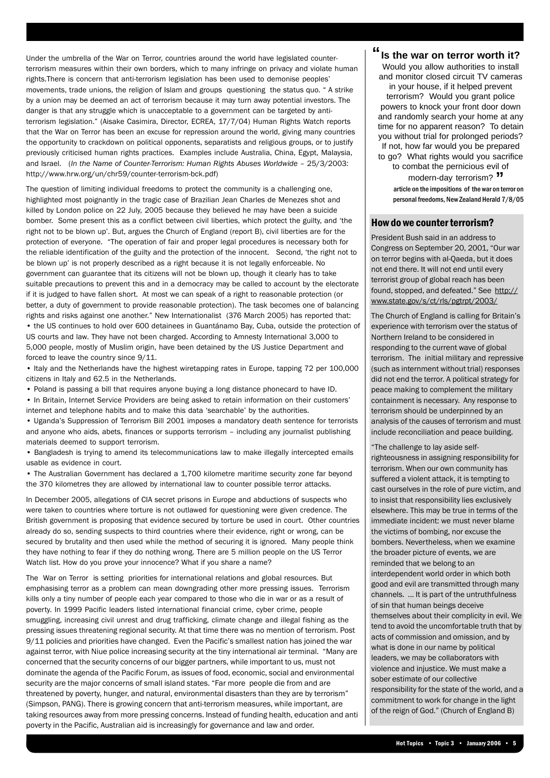Under the umbrella of the War on Terror, countries around the world have legislated counterterrorism measures within their own borders, which to many infringe on privacy and violate human rights.There is concern that anti-terrorism legislation has been used to demonise peoples' movements, trade unions, the religion of Islam and groups questioning the status quo. " A strike by a union may be deemed an act of terrorism because it may turn away potential investors. The danger is that any struggle which is unacceptable to a government can be targeted by antiterrorism legislation." (Aisake Casimira, Director, ECREA, 17/7/04) Human Rights Watch reports that the War on Terror has been an excuse for repression around the world, giving many countries the opportunity to crackdown on political opponents, separatists and religious groups, or to justify previously criticised human rights practices. Examples include Australia, China, Egypt, Malaysia, and Israel. (*In the Name of Counter-Terrorism: Human Rights Abuses Worldwide* – 25/3/2003: http://www.hrw.org/un/chr59/counter-terrorism-bck.pdf)

The question of limiting individual freedoms to protect the community is a challenging one, highlighted most poignantly in the tragic case of Brazilian Jean Charles de Menezes shot and killed by London police on 22 July, 2005 because they believed he may have been a suicide bomber. Some present this as a conflict between civil liberties, which protect the guilty, and 'the right not to be blown up'. But, argues the Church of England (report B), civil liberties are for the protection of everyone. "The operation of fair and proper legal procedures is necessary both for the reliable identification of the guilty and the protection of the innocent. Second, 'the right not to be blown up' is not properly described as a right because it is not legally enforceable. No government can guarantee that its citizens will not be blown up, though it clearly has to take suitable precautions to prevent this and in a democracy may be called to account by the electorate if it is judged to have fallen short. At most we can speak of a right to reasonable protection (or better, a duty of government to provide reasonable protection). The task becomes one of balancing rights and risks against one another." New Internationalist (376 March 2005) has reported that: • the US continues to hold over 600 detainees in Guantánamo Bay, Cuba, outside the protection of US courts and law. They have not been charged. According to Amnesty International 3,000 to 5,000 people, mostly of Muslim origin, have been detained by the US Justice Department and forced to leave the country since 9/11.

• Italy and the Netherlands have the highest wiretapping rates in Europe, tapping 72 per 100,000 citizens in Italy and 62.5 in the Netherlands.

• Poland is passing a bill that requires anyone buying a long distance phonecard to have ID.

• In Britain, Internet Service Providers are being asked to retain information on their customers' internet and telephone habits and to make this data 'searchable' by the authorities.

• Uganda's Suppression of Terrorism Bill 2001 imposes a mandatory death sentence for terrorists and anyone who aids, abets, finances or supports terrorism – including any journalist publishing materials deemed to support terrorism.

• Bangladesh is trying to amend its telecommunications law to make illegally intercepted emails usable as evidence in court.

• The Australian Government has declared a 1,700 kilometre maritime security zone far beyond the 370 kilometres they are allowed by international law to counter possible terror attacks.

In December 2005, allegations of CIA secret prisons in Europe and abductions of suspects who were taken to countries where torture is not outlawed for questioning were given credence. The British government is proposing that evidence secured by torture be used in court. Other countries already do so, sending suspects to third countries where their evidence, right or wrong, can be secured by brutality and then used while the method of securing it is ignored. Many people think they have nothing to fear if they do nothing wrong. There are 5 million people on the US Terror Watch list. How do you prove your innocence? What if you share a name?

The War on Terror is setting priorities for international relations and global resources. But emphasising terror as a problem can mean downgrading other more pressing issues. Terrorism kills only a tiny number of people each year compared to those who die in war or as a result of poverty. In 1999 Pacific leaders listed international financial crime, cyber crime, people smuggling, increasing civil unrest and drug trafficking, climate change and illegal fishing as the pressing issues threatening regional security. At that time there was no mention of terrorism. Post 9/11 policies and priorities have changed. Even the Pacific's smallest nation has joined the war against terror, with Niue police increasing security at the tiny international air terminal. "Many are concerned that the security concerns of our bigger partners, while important to us, must not dominate the agenda of the Pacific Forum, as issues of food, economic, social and environmental security are the major concerns of small island states. "Far more people die from and are threatened by poverty, hunger, and natural, environmental disasters than they are by terrorism" (Simpson, PANG). There is growing concern that anti-terrorism measures, while important, are taking resources away from more pressing concerns. Instead of funding health, education and anti poverty in the Pacific, Australian aid is increasingly for governance and law and order.

**Is the war on terror worth it? "** Would you allow authorities to install and monitor closed circuit TV cameras in your house, if it helped prevent terrorism? Would you grant police powers to knock your front door down and randomly search your home at any time for no apparent reason? To detain you without trial for prolonged periods? If not, how far would you be prepared to go? What rights would you sacrifice to combat the pernicious evil of modern-day terrorism? **"**

 article on the impositions of the war on terror on personal freedoms, New Zealand Herald 7/8/05

#### How do we counter terrorism?

President Bush said in an address to Congress on September 20, 2001, "Our war on terror begins with al-Qaeda, but it does not end there. It will not end until every terrorist group of global reach has been found, stopped, and defeated." See http:// www.state.gov/s/ct/rls/pgtrpt/2003/

The Church of England is calling for Britain's experience with terrorism over the status of Northern Ireland to be considered in responding to the current wave of global terrorism. The initial military and repressive (such as internment without trial) responses did not end the terror. A political strategy for peace making to complement the military containment is necessary. Any response to terrorism should be underpinned by an analysis of the causes of terrorism and must include reconciliation and peace building.

"The challenge to lay aside selfrighteousness in assigning responsibility for terrorism. When our own community has suffered a violent attack, it is tempting to cast ourselves in the role of pure victim, and to insist that responsibility lies exclusively elsewhere. This may be true in terms of the immediate incident: we must never blame the victims of bombing, nor excuse the bombers. Nevertheless, when we examine the broader picture of events, we are reminded that we belong to an interdependent world order in which both good and evil are transmitted through many channels. ... It is part of the untruthfulness of sin that human beings deceive themselves about their complicity in evil. We tend to avoid the uncomfortable truth that by acts of commission and omission, and by what is done in our name by political leaders, we may be collaborators with violence and injustice. We must make a sober estimate of our collective responsibility for the state of the world, and a commitment to work for change in the light of the reign of God." (Church of England B)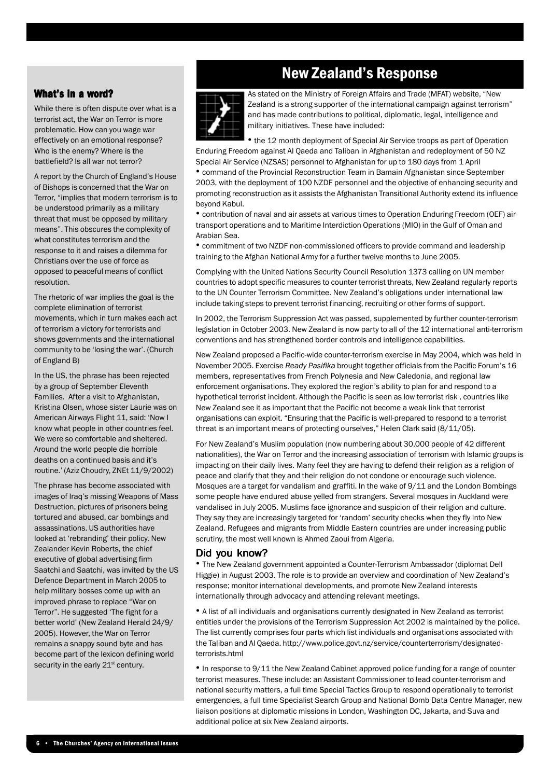#### What's in a word?

While there is often dispute over what is a terrorist act, the War on Terror is more problematic. How can you wage war effectively on an emotional response? Who is the enemy? Where is the battlefield? Is all war not terror?

A report by the Church of England's House of Bishops is concerned that the War on Terror, "implies that modern terrorism is to be understood primarily as a military threat that must be opposed by military means". This obscures the complexity of what constitutes terrorism and the response to it and raises a dilemma for Christians over the use of force as opposed to peaceful means of conflict resolution.

The rhetoric of war implies the goal is the complete elimination of terrorist movements, which in turn makes each act of terrorism a victory for terrorists and shows governments and the international community to be 'losing the war'. (Church of England B)

In the US, the phrase has been rejected by a group of September Eleventh Families. After a visit to Afghanistan, Kristina Olsen, whose sister Laurie was on American Airways Flight 11, said: 'Now I know what people in other countries feel. We were so comfortable and sheltered. Around the world people die horrible deaths on a continued basis and it's routine.' (Aziz Choudry, ZNEt 11/9/2002)

The phrase has become associated with images of Iraq's missing Weapons of Mass Destruction, pictures of prisoners being tortured and abused, car bombings and assassinations. US authorities have looked at 'rebranding' their policy. New Zealander Kevin Roberts, the chief executive of global advertising firm Saatchi and Saatchi, was invited by the US Defence Department in March 2005 to help military bosses come up with an improved phrase to replace "War on Terror". He suggested 'The fight for a better world' (New Zealand Herald 24/9/ 2005). However, the War on Terror remains a snappy sound byte and has become part of the lexicon defining world security in the early 21<sup>st</sup> century.

## New Zealand's Response



As stated on the Ministry of Foreign Affairs and Trade (MFAT) website, "New Zealand is a strong supporter of the international campaign against terrorism" and has made contributions to political, diplomatic, legal, intelligence and military initiatives. These have included:

• the 12 month deployment of Special Air Service troops as part of Operation Enduring Freedom against Al Qaeda and Taliban in Afghanistan and redeployment of 50 NZ Special Air Service (NZSAS) personnel to Afghanistan for up to 180 days from 1 April

• command of the Provincial Reconstruction Team in Bamain Afghanistan since September 2003, with the deployment of 100 NZDF personnel and the objective of enhancing security and promoting reconstruction as it assists the Afghanistan Transitional Authority extend its influence beyond Kabul.

• contribution of naval and air assets at various times to Operation Enduring Freedom (OEF) air transport operations and to Maritime Interdiction Operations (MIO) in the Gulf of Oman and Arabian Sea.

• commitment of two NZDF non-commissioned officers to provide command and leadership training to the Afghan National Army for a further twelve months to June 2005.

Complying with the United Nations Security Council Resolution 1373 calling on UN member countries to adopt specific measures to counter terrorist threats, New Zealand regularly reports to the UN Counter Terrorism Committee. New Zealand's obligations under international law include taking steps to prevent terrorist financing, recruiting or other forms of support.

In 2002, the Terrorism Suppression Act was passed, supplemented by further counter-terrorism legislation in October 2003. New Zealand is now party to all of the 12 international anti-terrorism conventions and has strengthened border controls and intelligence capabilities.

New Zealand proposed a Pacific-wide counter-terrorism exercise in May 2004, which was held in November 2005. Exercise *Ready Pasifika* brought together officials from the Pacific Forum's 16 members, representatives from French Polynesia and New Caledonia, and regional law enforcement organisations. They explored the region's ability to plan for and respond to a hypothetical terrorist incident. Although the Pacific is seen as low terrorist risk , countries like New Zealand see it as important that the Pacific not become a weak link that terrorist organisations can exploit. "Ensuring that the Pacific is well-prepared to respond to a terrorist threat is an important means of protecting ourselves," Helen Clark said (8/11/05).

For New Zealand's Muslim population (now numbering about 30,000 people of 42 different nationalities), the War on Terror and the increasing association of terrorism with Islamic groups is impacting on their daily lives. Many feel they are having to defend their religion as a religion of peace and clarify that they and their religion do not condone or encourage such violence. Mosques are a target for vandalism and graffiti. In the wake of 9/11 and the London Bombings some people have endured abuse yelled from strangers. Several mosques in Auckland were vandalised in July 2005. Muslims face ignorance and suspicion of their religion and culture. They say they are increasingly targeted for 'random' security checks when they fly into New Zealand. Refugees and migrants from Middle Eastern countries are under increasing public scrutiny, the most well known is Ahmed Zaoui from Algeria.

#### Did you know?

• The New Zealand government appointed a Counter-Terrorism Ambassador (diplomat Dell Higgie) in August 2003. The role is to provide an overview and coordination of New Zealand's response; monitor international developments, and promote New Zealand interests internationally through advocacy and attending relevant meetings.

• A list of all individuals and organisations currently designated in New Zealand as terrorist entities under the provisions of the Terrorism Suppression Act 2002 is maintained by the police. The list currently comprises four parts which list individuals and organisations associated with the Taliban and Al Qaeda. http://www.police.govt.nz/service/counterterrorism/designatedterrorists.html

• In response to 9/11 the New Zealand Cabinet approved police funding for a range of counter terrorist measures. These include: an Assistant Commissioner to lead counter-terrorism and national security matters, a full time Special Tactics Group to respond operationally to terrorist emergencies, a full time Specialist Search Group and National Bomb Data Centre Manager, new liaison positions at diplomatic missions in London, Washington DC, Jakarta, and Suva and additional police at six New Zealand airports.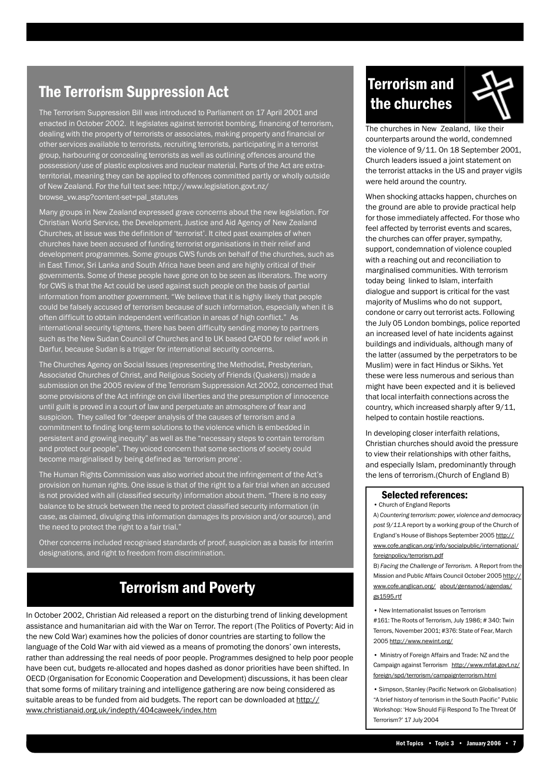## The Terrorism Suppression Act

The Terrorism Suppression Bill was introduced to Parliament on 17 April 2001 and enacted in October 2002. It legislates against terrorist bombing, financing of terrorism, dealing with the property of terrorists or associates, making property and financial or other services available to terrorists, recruiting terrorists, participating in a terrorist group, harbouring or concealing terrorists as well as outlining offences around the possession/use of plastic explosives and nuclear material. Parts of the Act are extraterritorial, meaning they can be applied to offences committed partly or wholly outside New Zealand. For the full text see: http://www.legislation.govt.nz/ browse\_vw.asp?content-set=pal\_statutes

Many groups in New Zealand expressed grave concerns about the new legislation. For Christian World Service, the Development, Justice and Aid Agency of New Zealand Churches, at issue was the definition of 'terrorist'. It cited past examples of when churches have been accused of funding terrorist organisations in their relief and development programmes. Some groups CWS funds on behalf of the churches, such as in East Timor, Sri Lanka and South Africa have been and are highly critical of their governments. Some of these people have gone on to be seen as liberators. The worry for CWS is that the Act could be used against such people on the basis of partial information from another government. "We believe that it is highly likely that people could be falsely accused of terrorism because of such information, especially when it is often difficult to obtain independent verification in areas of high conflict." As international security tightens, there has been difficulty sending money to partners such as the New Sudan Council of Churches and to UK based CAFOD for relief work in Darfur, because Sudan is a trigger for international security concerns.

The Churches Agency on Social Issues (representing the Methodist, Presbyterian, Associated Churches of Christ, and Religious Society of Friends (Quakers)) made a submission on the 2005 review of the Terrorism Suppression Act 2002, concerned that some provisions of the Act infringe on civil liberties and the presumption of innocence until guilt is proved in a court of law and perpetuate an atmosphere of fear and suspicion. They called for "deeper analysis of the causes of terrorism and a commitment to finding long-term solutions to the violence which is embedded in persistent and growing inequity" as well as the "necessary steps to contain terrorism and protect our people". They voiced concern that some sections of society could become marginalised by being defined as 'terrorism prone'.

The Human Rights Commission was also worried about the infringement of the Act's provision on human rights. One issue is that of the right to a fair trial when an accused is not provided with all (classified security) information about them. "There is no easy balance to be struck between the need to protect classified security information (in case, as claimed, divulging this information damages its provision and/or source), and the need to protect the right to a fair trial."

Other concerns included recognised standards of proof, suspicion as a basis for interim designations, and right to freedom from discrimination.

## Terrorism and Poverty

In October 2002, Christian Aid released a report on the disturbing trend of linking development assistance and humanitarian aid with the War on Terror. The report (The Politics of Poverty: Aid in the new Cold War) examines how the policies of donor countries are starting to follow the language of the Cold War with aid viewed as a means of promoting the donors' own interests, rather than addressing the real needs of poor people. Programmes designed to help poor people have been cut, budgets re-allocated and hopes dashed as donor priorities have been shifted. In OECD (Organisation for Economic Cooperation and Development) discussions, it has been clear that some forms of military training and intelligence gathering are now being considered as suitable areas to be funded from aid budgets. The report can be downloaded at http:// www.christianaid.org.uk/indepth/404caweek/index.htm

# Terrorism and the churches



The churches in New Zealand, like their counterparts around the world, condemned the violence of 9/11. On 18 September 2001, Church leaders issued a joint statement on the terrorist attacks in the US and prayer vigils were held around the country.

When shocking attacks happen, churches on the ground are able to provide practical help for those immediately affected. For those who feel affected by terrorist events and scares, the churches can offer prayer, sympathy, support, condemnation of violence coupled with a reaching out and reconciliation to marginalised communities. With terrorism today being linked to Islam, interfaith dialogue and support is critical for the vast majority of Muslims who do not support, condone or carry out terrorist acts. Following the July 05 London bombings, police reported an increased level of hate incidents against buildings and individuals, although many of the latter (assumed by the perpetrators to be Muslim) were in fact Hindus or Sikhs. Yet these were less numerous and serious than might have been expected and it is believed that local interfaith connections across the country, which increased sharply after 9/11, helped to contain hostile reactions.

In developing closer interfaith relations, Christian churches should avoid the pressure to view their relationships with other faiths, and especially Islam, predominantly through the lens of terrorism.(Church of England B)

#### Selected references:

• Church of England Reports

A) *Countering terrorism: power, violence and democracy post 9/11.*A report by a working group of the Church of England's House of Bishops September 2005 http:// www.cofe.anglican.org/info/socialpublic/international/ foreignpolicy/terrorism.pdf

B) *Facing the Challenge of Terrorism.* A Report from the Mission and Public Affairs Council October 2005 http:// www.cofe.anglican.org/ about/gensynod/agendas/ gs1595.rtf

• New Internationalist Issues on Terrorism #161: The Roots of Terrorism, July 1986; # 340: Twin Terrors, November 2001; #376: State of Fear, March 2005 http://www.newint.org/

• Ministry of Foreign Affairs and Trade: NZ and the Campaign against Terrorism http://www.mfat.govt.nz/ foreign/spd/terrorism/campaignterrorism.html

• Simpson, Stanley (Pacific Network on Globalisation) "A brief history of terrorism in the South Pacific" Public Workshop: 'How Should Fiji Respond To The Threat Of Terrorism?' 17 July 2004